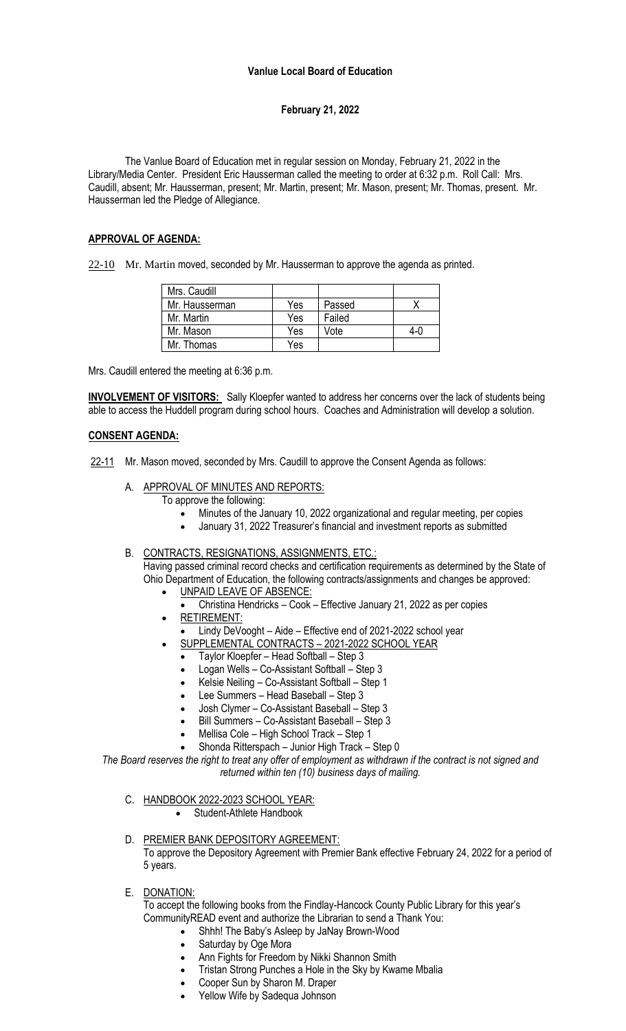#### **Vanlue Local Board of Education**

# **February 21, 2022**

The Vanlue Board of Education met in regular session on Monday, February 21, 2022 in the Library/Media Center. President Eric Hausserman called the meeting to order at 6:32 p.m. Roll Call: Mrs. Caudill, absent; Mr. Hausserman, present; Mr. Martin, present; Mr. Mason, present; Mr. Thomas, present. Mr. Hausserman led the Pledge of Allegiance.

### **APPROVAL OF AGENDA:**

22-10 Mr. Martin moved, seconded by Mr. Hausserman to approve the agenda as printed.

| Mrs. Caudill   |     |        |     |
|----------------|-----|--------|-----|
| Mr. Hausserman | Yes | Passed |     |
| Mr. Martin     | Yes | Failed |     |
| Mr. Mason      | Yes | Vote   | 4-0 |
| Mr. Thomas     | Yes |        |     |

Mrs. Caudill entered the meeting at 6:36 p.m.

**INVOLVEMENT OF VISITORS:** Sally Kloepfer wanted to address her concerns over the lack of students being able to access the Huddell program during school hours. Coaches and Administration will develop a solution.

### **CONSENT AGENDA:**

22-11 Mr. Mason moved, seconded by Mrs. Caudill to approve the Consent Agenda as follows:

A. APPROVAL OF MINUTES AND REPORTS:

To approve the following:

- Minutes of the January 10, 2022 organizational and regular meeting, per copies
- January 31, 2022 Treasurer's financial and investment reports as submitted
- B. CONTRACTS, RESIGNATIONS, ASSIGNMENTS, ETC.:

Having passed criminal record checks and certification requirements as determined by the State of Ohio Department of Education, the following contracts/assignments and changes be approved:

- UNPAID LEAVE OF ABSENCE:
	- Christina Hendricks Cook Effective January 21, 2022 as per copies • RETIREMENT:
	- Lindy DeVooght Aide Effective end of 2021-2022 school year
	- SUPPLEMENTAL CONTRACTS 2021-2022 SCHOOL YEAR
	- Taylor Kloepfer Head Softball Step 3
	- Logan Wells Co-Assistant Softball Step 3
	- Kelsie Neiling Co-Assistant Softball Step 1
	- Lee Summers Head Baseball Step 3
	- Josh Clymer Co-Assistant Baseball Step 3
	- Bill Summers Co-Assistant Baseball Step 3
	- Mellisa Cole High School Track Step 1
	- Shonda Ritterspach Junior High Track Step 0

*The Board reserves the right to treat any offer of employment as withdrawn if the contract is not signed and returned within ten (10) business days of mailing.*

C. HANDBOOK 2022-2023 SCHOOL YEAR: Student-Athlete Handbook

- D. PREMIER BANK DEPOSITORY AGREEMENT: To approve the Depository Agreement with Premier Bank effective February 24, 2022 for a period of 5 years.
- E. DONATION:

To accept the following books from the Findlay-Hancock County Public Library for this year's CommunityREAD event and authorize the Librarian to send a Thank You:

- Shhh! The Baby's Asleep by JaNay Brown-Wood
- Saturday by Oge Mora
- Ann Fights for Freedom by Nikki Shannon Smith
- Tristan Strong Punches a Hole in the Sky by Kwame Mbalia
- Cooper Sun by Sharon M. Draper
- Yellow Wife by Sadequa Johnson